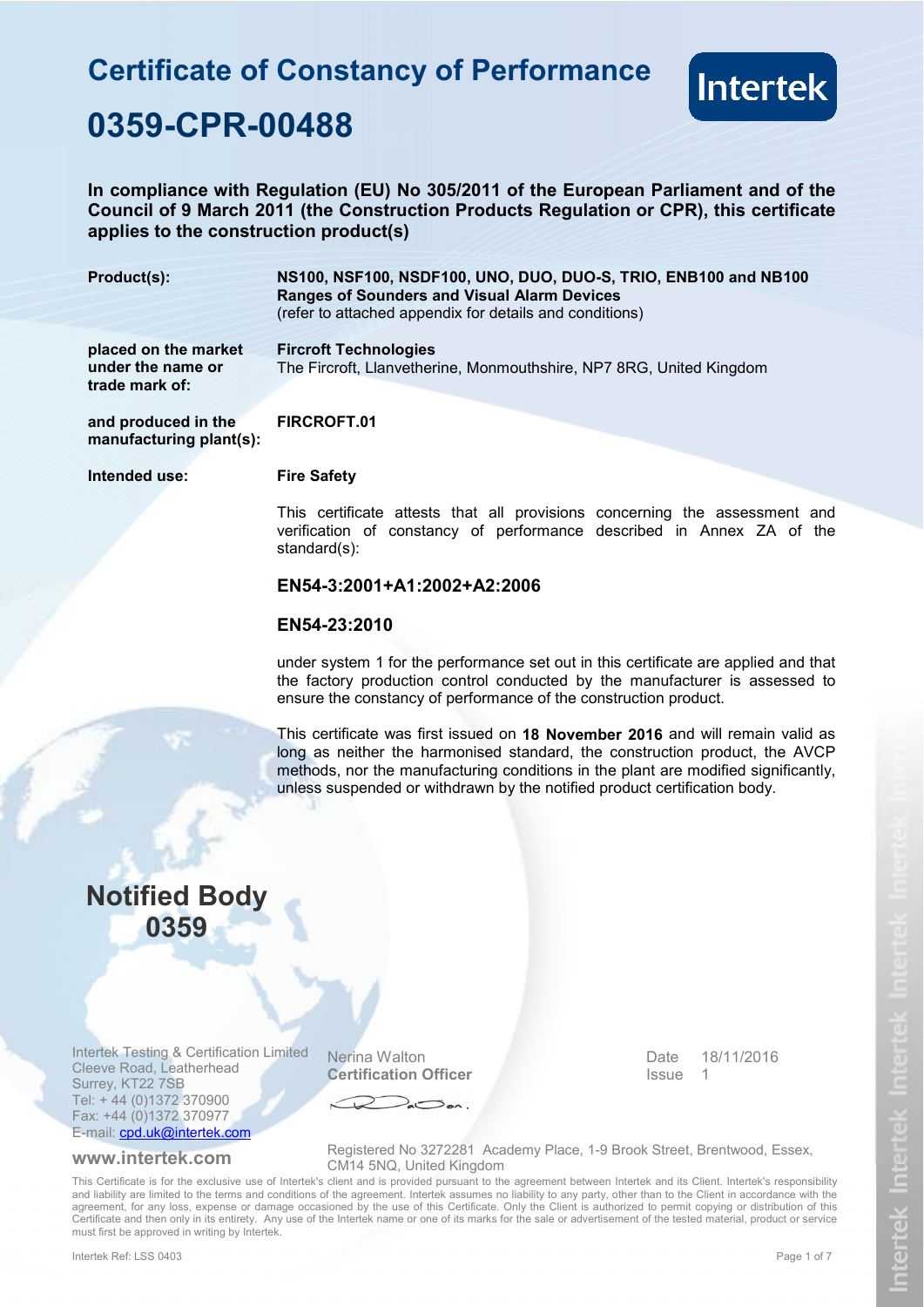# **Certificate of Constancy of Performance 0359-CPR-00488**



### **In compliance with Regulation (EU) No 305/2011 of the European Parliament and of the Council of 9 March 2011 (the Construction Products Regulation or CPR), this certificate applies to the construction product(s)**

| Product(s):                                                 | NS100, NSF100, NSDF100, UNO, DUO, DUO-S, TRIO, ENB100 and NB100<br><b>Ranges of Sounders and Visual Alarm Devices</b><br>(refer to attached appendix for details and conditions)                                                       |  |
|-------------------------------------------------------------|----------------------------------------------------------------------------------------------------------------------------------------------------------------------------------------------------------------------------------------|--|
| placed on the market<br>under the name or<br>trade mark of: | <b>Fircroft Technologies</b><br>The Fircroft, Llanvetherine, Monmouthshire, NP7 8RG, United Kingdom                                                                                                                                    |  |
| and produced in the<br>manufacturing plant(s):              | FIRCROFT.01                                                                                                                                                                                                                            |  |
| Intended use:                                               | <b>Fire Safety</b>                                                                                                                                                                                                                     |  |
|                                                             | This certificate attests that all provisions concerning the assessment and<br>verification of constancy of performance described in Annex ZA of the<br>standard $(s)$ :                                                                |  |
|                                                             | EN54-3:2001+A1:2002+A2:2006                                                                                                                                                                                                            |  |
|                                                             | EN54-23:2010                                                                                                                                                                                                                           |  |
|                                                             | under system 1 for the performance set out in this certificate are applied and that<br>the factory production control conducted by the manufacturer is assessed to<br>ensure the constancy of performance of the construction product. |  |

This certificate was first issued on **18 November 2016** and will remain valid as long as neither the harmonised standard, the construction product, the AVCP methods, nor the manufacturing conditions in the plant are modified significantly, unless suspended or withdrawn by the notified product certification body.

## **Notified Body 0359**

Intertek Testing & Certification Limited Cleeve Road, Leatherhead Surrey, KT22 7SB Tel: + 44 (0)1372 370900 Fax: +44 (0)1372 370977 E-mail: cpd.uk@intertek.com

Nerina Walton **Certification Officer**  Date Issue 1 18/11/2016

**www.intertek.com** Registered No 3272281 Academy Place, 1-9 Brook Street, Brentwood, Essex, CM14 5NQ, United Kingdom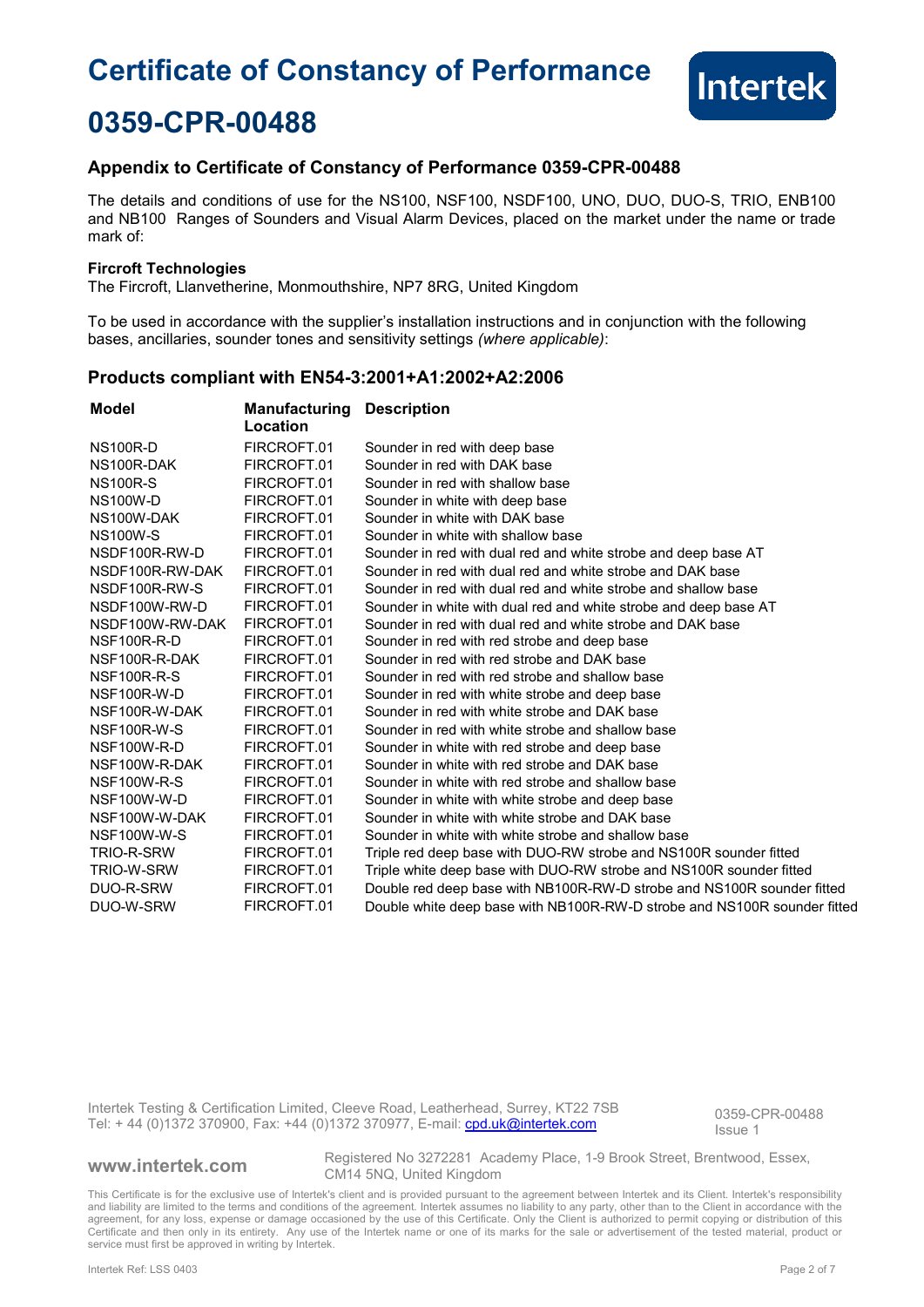

## **0359-CPR-00488**

### **Appendix to Certificate of Constancy of Performance 0359-CPR-00488**

The details and conditions of use for the NS100, NSF100, NSDF100, UNO, DUO, DUO-S, TRIO, ENB100 and NB100 Ranges of Sounders and Visual Alarm Devices, placed on the market under the name or trade mark of:

### **Fircroft Technologies**

The Fircroft, Llanvetherine, Monmouthshire, NP7 8RG, United Kingdom

To be used in accordance with the supplier's installation instructions and in conjunction with the following bases, ancillaries, sounder tones and sensitivity settings *(where applicable)*:

### **Products compliant with EN54-3:2001+A1:2002+A2:2006**

| Model              | <b>Manufacturing</b><br>Location | <b>Description</b>                                                       |
|--------------------|----------------------------------|--------------------------------------------------------------------------|
| <b>NS100R-D</b>    | FIRCROFT.01                      | Sounder in red with deep base                                            |
| NS100R-DAK         | FIRCROFT.01                      | Sounder in red with DAK base                                             |
| <b>NS100R-S</b>    | FIRCROFT.01                      | Sounder in red with shallow base                                         |
| <b>NS100W-D</b>    | FIRCROFT.01                      | Sounder in white with deep base                                          |
| NS100W-DAK         | FIRCROFT.01                      | Sounder in white with DAK base                                           |
| <b>NS100W-S</b>    | FIRCROFT.01                      | Sounder in white with shallow base                                       |
| NSDF100R-RW-D      | FIRCROFT.01                      | Sounder in red with dual red and white strobe and deep base AT           |
| NSDF100R-RW-DAK    | FIRCROFT.01                      | Sounder in red with dual red and white strobe and DAK base               |
| NSDF100R-RW-S      | FIRCROFT.01                      | Sounder in red with dual red and white strobe and shallow base           |
| NSDF100W-RW-D      | FIRCROFT.01                      | Sounder in white with dual red and white strobe and deep base AT         |
| NSDF100W-RW-DAK    | FIRCROFT.01                      | Sounder in red with dual red and white strobe and DAK base               |
| NSF100R-R-D        | FIRCROFT.01                      | Sounder in red with red strobe and deep base                             |
| NSF100R-R-DAK      | FIRCROFT.01                      | Sounder in red with red strobe and DAK base                              |
| NSF100R-R-S        | FIRCROFT.01                      | Sounder in red with red strobe and shallow base                          |
| NSF100R-W-D        | FIRCROFT.01                      | Sounder in red with white strobe and deep base                           |
| NSF100R-W-DAK      | FIRCROFT.01                      | Sounder in red with white strobe and DAK base                            |
| NSF100R-W-S        | FIRCROFT.01                      | Sounder in red with white strobe and shallow base                        |
| NSF100W-R-D        | FIRCROFT.01                      | Sounder in white with red strobe and deep base                           |
| NSF100W-R-DAK      | FIRCROFT.01                      | Sounder in white with red strobe and DAK base                            |
| <b>NSF100W-R-S</b> | FIRCROFT.01                      | Sounder in white with red strobe and shallow base                        |
| NSF100W-W-D        | FIRCROFT.01                      | Sounder in white with white strobe and deep base                         |
| NSF100W-W-DAK      | FIRCROFT.01                      | Sounder in white with white strobe and DAK base                          |
| NSF100W-W-S        | FIRCROFT.01                      | Sounder in white with white strobe and shallow base                      |
| TRIO-R-SRW         | FIRCROFT.01                      | Triple red deep base with DUO-RW strobe and NS100R sounder fitted        |
| TRIO-W-SRW         | FIRCROFT.01                      | Triple white deep base with DUO-RW strobe and NS100R sounder fitted      |
| DUO-R-SRW          | FIRCROFT.01                      | Double red deep base with NB100R-RW-D strobe and NS100R sounder fitted   |
| DUO-W-SRW          | FIRCROFT.01                      | Double white deep base with NB100R-RW-D strobe and NS100R sounder fitted |

Intertek Testing & Certification Limited, Cleeve Road, Leatherhead, Surrey, KT22 7SB Intertek Testing & Certification Limited, Cleeve Road, Leatherhead, Surrey, KT22 7SB<br>Tel: + 44 (0)1372 370900, Fax: +44 (0)1372 370977, E-mail: cpd.uk@intertek.com and pays 1 legue 1

Issue 1

**www.intertek.com** Registered No 3272281 Academy Place, 1-9 Brook Street, Brentwood, Essex, CM14 5NQ, United Kingdom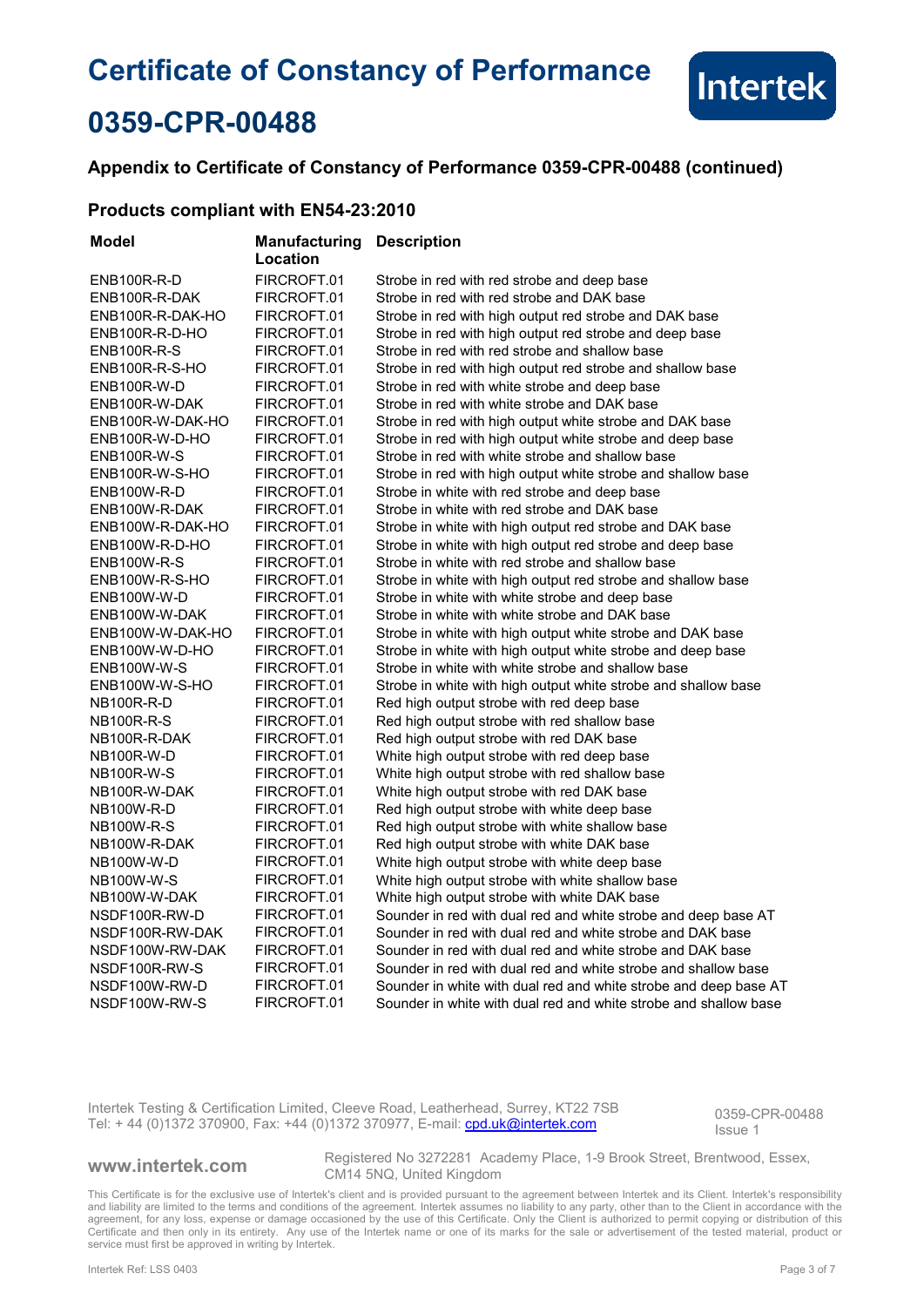

## **0359-CPR-00488**

### **Appendix to Certificate of Constancy of Performance 0359-CPR-00488 (continued)**

### **Products compliant with EN54-23:2010**

| Model             | Manufacturing<br>Location | <b>Description</b>                                               |
|-------------------|---------------------------|------------------------------------------------------------------|
| ENB100R-R-D       | FIRCROFT.01               | Strobe in red with red strobe and deep base                      |
| ENB100R-R-DAK     | FIRCROFT.01               | Strobe in red with red strobe and DAK base                       |
| ENB100R-R-DAK-HO  | FIRCROFT.01               | Strobe in red with high output red strobe and DAK base           |
| ENB100R-R-D-HO    | FIRCROFT.01               | Strobe in red with high output red strobe and deep base          |
| ENB100R-R-S       | FIRCROFT.01               | Strobe in red with red strobe and shallow base                   |
| ENB100R-R-S-HO    | FIRCROFT.01               | Strobe in red with high output red strobe and shallow base       |
| ENB100R-W-D       | FIRCROFT.01               | Strobe in red with white strobe and deep base                    |
| ENB100R-W-DAK     | FIRCROFT.01               | Strobe in red with white strobe and DAK base                     |
| ENB100R-W-DAK-HO  | FIRCROFT.01               | Strobe in red with high output white strobe and DAK base         |
| ENB100R-W-D-HO    | FIRCROFT.01               | Strobe in red with high output white strobe and deep base        |
| ENB100R-W-S       | FIRCROFT.01               | Strobe in red with white strobe and shallow base                 |
| ENB100R-W-S-HO    | FIRCROFT.01               | Strobe in red with high output white strobe and shallow base     |
| ENB100W-R-D       | FIRCROFT.01               | Strobe in white with red strobe and deep base                    |
| ENB100W-R-DAK     | FIRCROFT.01               | Strobe in white with red strobe and DAK base                     |
| ENB100W-R-DAK-HO  | FIRCROFT.01               | Strobe in white with high output red strobe and DAK base         |
| ENB100W-R-D-HO    | FIRCROFT.01               | Strobe in white with high output red strobe and deep base        |
| ENB100W-R-S       | FIRCROFT.01               | Strobe in white with red strobe and shallow base                 |
| ENB100W-R-S-HO    | FIRCROFT.01               | Strobe in white with high output red strobe and shallow base     |
| ENB100W-W-D       | FIRCROFT.01               | Strobe in white with white strobe and deep base                  |
| ENB100W-W-DAK     | FIRCROFT.01               | Strobe in white with white strobe and DAK base                   |
| ENB100W-W-DAK-HO  | FIRCROFT.01               | Strobe in white with high output white strobe and DAK base       |
| ENB100W-W-D-HO    | FIRCROFT.01               | Strobe in white with high output white strobe and deep base      |
| ENB100W-W-S       | FIRCROFT.01               | Strobe in white with white strobe and shallow base               |
| ENB100W-W-S-HO    | FIRCROFT.01               | Strobe in white with high output white strobe and shallow base   |
| NB100R-R-D        | FIRCROFT.01               | Red high output strobe with red deep base                        |
| <b>NB100R-R-S</b> | FIRCROFT.01               | Red high output strobe with red shallow base                     |
| NB100R-R-DAK      | FIRCROFT.01               | Red high output strobe with red DAK base                         |
| NB100R-W-D        | FIRCROFT.01               | White high output strobe with red deep base                      |
| NB100R-W-S        | FIRCROFT.01               | White high output strobe with red shallow base                   |
| NB100R-W-DAK      | FIRCROFT.01               | White high output strobe with red DAK base                       |
| NB100W-R-D        | FIRCROFT.01               | Red high output strobe with white deep base                      |
| <b>NB100W-R-S</b> | FIRCROFT.01               | Red high output strobe with white shallow base                   |
| NB100W-R-DAK      | FIRCROFT.01               | Red high output strobe with white DAK base                       |
| NB100W-W-D        | FIRCROFT.01               | White high output strobe with white deep base                    |
| <b>NB100W-W-S</b> | FIRCROFT.01               | White high output strobe with white shallow base                 |
| NB100W-W-DAK      | FIRCROFT.01               | White high output strobe with white DAK base                     |
| NSDF100R-RW-D     | FIRCROFT.01               | Sounder in red with dual red and white strobe and deep base AT   |
| NSDF100R-RW-DAK   | FIRCROFT.01               | Sounder in red with dual red and white strobe and DAK base       |
| NSDF100W-RW-DAK   | FIRCROFT.01               | Sounder in red with dual red and white strobe and DAK base       |
| NSDF100R-RW-S     | FIRCROFT.01               | Sounder in red with dual red and white strobe and shallow base   |
| NSDF100W-RW-D     | FIRCROFT.01               | Sounder in white with dual red and white strobe and deep base AT |
| NSDF100W-RW-S     | FIRCROFT.01               | Sounder in white with dual red and white strobe and shallow base |

Intertek Testing & Certification Limited, Cleeve Road, Leatherhead, Surrey, KT22 7SB Intertek Testing & Certification Limited, Cleeve Road, Leatherhead, Surrey, KT22 7SB<br>Tel: + 44 (0)1372 370900, Fax: +44 (0)1372 370977, E-mail: continue com original original pressure 1

Issue 1

**www.intertek.com** Registered No 3272281 Academy Place, 1-9 Brook Street, Brentwood, Essex, CM14 5NQ, United Kingdom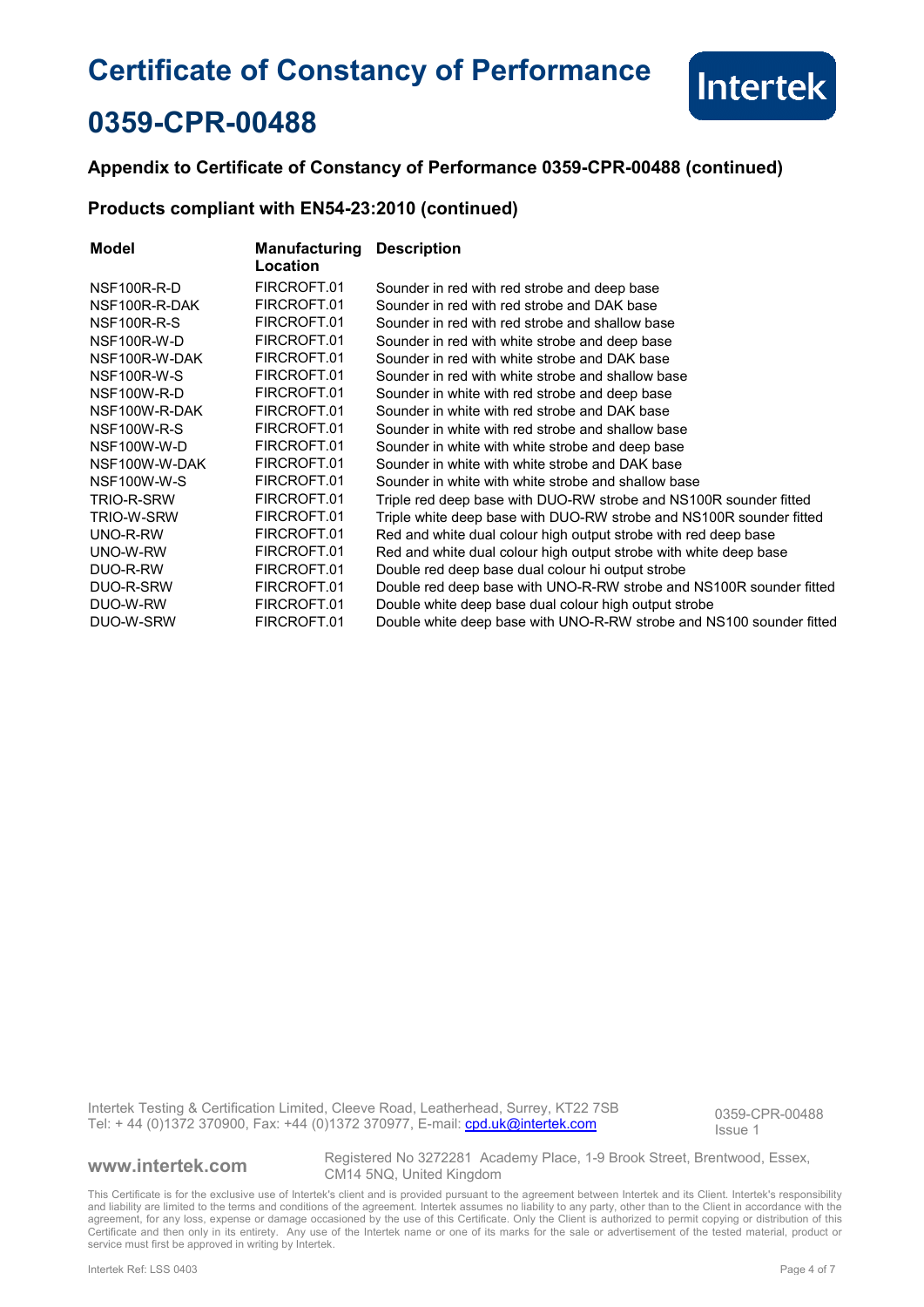

## **0359-CPR-00488**

### **Appendix to Certificate of Constancy of Performance 0359-CPR-00488 (continued)**

### **Products compliant with EN54-23:2010 (continued)**

| Model         | Manufacturing<br>Location | <b>Description</b>                                                   |
|---------------|---------------------------|----------------------------------------------------------------------|
| NSF100R-R-D   | FIRCROFT.01               | Sounder in red with red strobe and deep base                         |
| NSF100R-R-DAK | FIRCROFT.01               | Sounder in red with red strobe and DAK base                          |
| NSF100R-R-S   | FIRCROFT.01               | Sounder in red with red strobe and shallow base                      |
| NSF100R-W-D   | FIRCROFT.01               | Sounder in red with white strobe and deep base                       |
| NSF100R-W-DAK | FIRCROFT.01               | Sounder in red with white strobe and DAK base                        |
| NSF100R-W-S   | FIRCROFT.01               | Sounder in red with white strobe and shallow base                    |
| NSF100W-R-D   | FIRCROFT.01               | Sounder in white with red strobe and deep base                       |
| NSF100W-R-DAK | FIRCROFT.01               | Sounder in white with red strobe and DAK base                        |
| NSF100W-R-S   | FIRCROFT.01               | Sounder in white with red strobe and shallow base                    |
| NSF100W-W-D   | FIRCROFT.01               | Sounder in white with white strobe and deep base                     |
| NSF100W-W-DAK | FIRCROFT.01               | Sounder in white with white strobe and DAK base                      |
| NSF100W-W-S   | FIRCROFT.01               | Sounder in white with white strobe and shallow base                  |
| TRIO-R-SRW    | FIRCROFT.01               | Triple red deep base with DUO-RW strobe and NS100R sounder fitted    |
| TRIO-W-SRW    | FIRCROFT.01               | Triple white deep base with DUO-RW strobe and NS100R sounder fitted  |
| UNO-R-RW      | FIRCROFT.01               | Red and white dual colour high output strobe with red deep base      |
| UNO-W-RW      | FIRCROFT.01               | Red and white dual colour high output strobe with white deep base    |
| DUO-R-RW      | FIRCROFT.01               | Double red deep base dual colour hi output strobe                    |
| DUO-R-SRW     | FIRCROFT.01               | Double red deep base with UNO-R-RW strobe and NS100R sounder fitted  |
| DUO-W-RW      | FIRCROFT.01               | Double white deep base dual colour high output strobe                |
| DUO-W-SRW     | FIRCROFT.01               | Double white deep base with UNO-R-RW strobe and NS100 sounder fitted |

Intertek Testing & Certification Limited, Cleeve Road, Leatherhead, Surrey, KT22 7SB Intertek Testing & Certification Limited, Cleeve Road, Leatherhead, Surrey, KT22 7SB<br>Tel: + 44 (0)1372 370900, Fax: +44 (0)1372 370977, E-mail: continual com original process of the leader

Issue 1

**www.intertek.com** Registered No 3272281 Academy Place, 1-9 Brook Street, Brentwood, Essex, CM14 5NQ, United Kingdom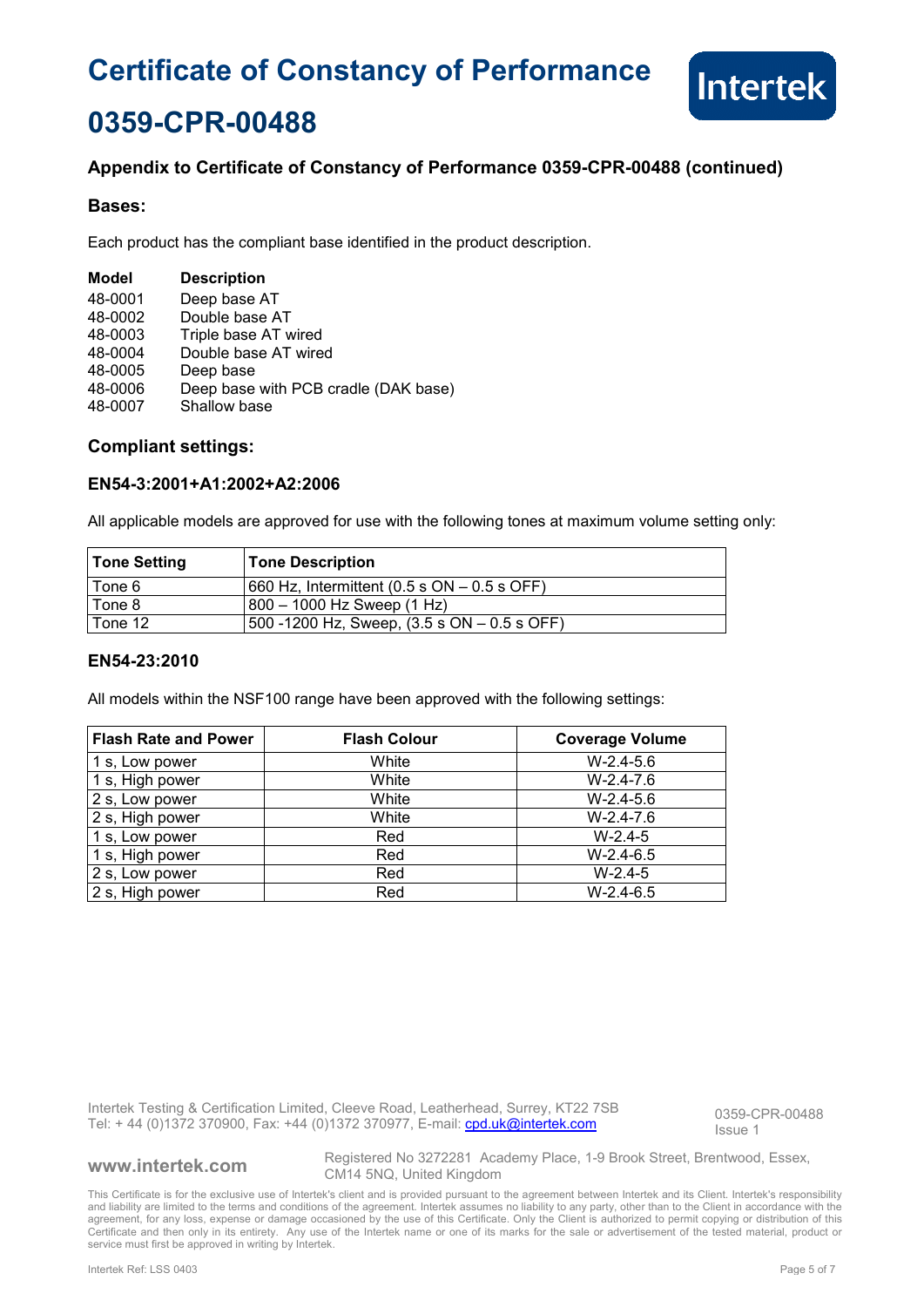

## **0359-CPR-00488**

### **Appendix to Certificate of Constancy of Performance 0359-CPR-00488 (continued)**

### **Bases:**

Each product has the compliant base identified in the product description.

| Model   | <b>Description</b>                   |
|---------|--------------------------------------|
| 48-0001 | Deep base AT                         |
| 48-0002 | Double base AT                       |
| 48-0003 | Triple base AT wired                 |
| 48-0004 | Double base AT wired                 |
| 48-0005 | Deep base                            |
| 48-0006 | Deep base with PCB cradle (DAK base) |
| 48-0007 | Shallow base                         |

### **Compliant settings:**

### **EN54-3:2001+A1:2002+A2:2006**

All applicable models are approved for use with the following tones at maximum volume setting only:

| Tone Setting | <b>Tone Description</b>                          |
|--------------|--------------------------------------------------|
| Tone 6       | $1660$ Hz, Intermittent (0.5 s ON $-$ 0.5 s OFF) |
| l Tone 8     | $800 - 1000$ Hz Sweep $(1$ Hz)                   |
| Tone 12      | 500 -1200 Hz, Sweep, $(3.5 s ON - 0.5 s OFF)$    |

### **EN54-23:2010**

All models within the NSF100 range have been approved with the following settings:

| <b>Flash Rate and Power</b> | <b>Flash Colour</b> | <b>Coverage Volume</b> |
|-----------------------------|---------------------|------------------------|
| 1 s, Low power              | White               | $W-2.4-5.6$            |
| 1 s, High power             | White               | $W-2.4-7.6$            |
| 2 s, Low power              | White               | $W-2.4-5.6$            |
| 2 s, High power             | White               | $W-2.4-7.6$            |
| 1 s, Low power              | Red                 | $W-2.4-5$              |
| 1 s, High power             | Red                 | $W-2.4-6.5$            |
| 2 s, Low power              | Red                 | $W-2.4-5$              |
| 2 s, High power             | Red                 | $W-2.4-6.5$            |

Intertek Testing & Certification Limited, Cleeve Road, Leatherhead, Surrey, KT22 7SB Intertek Testing & Certification Limited, Cleeve Road, Leatherhead, Surrey, KT22 7SB<br>Tel: + 44 (0)1372 370900, Fax: +44 (0)1372 370977, E-mail: cnd.uk@intertek.com

Issue 1

**www.intertek.com** Registered No 3272281 Academy Place, 1-9 Brook Street, Brentwood, Essex, CM14 5NQ, United Kingdom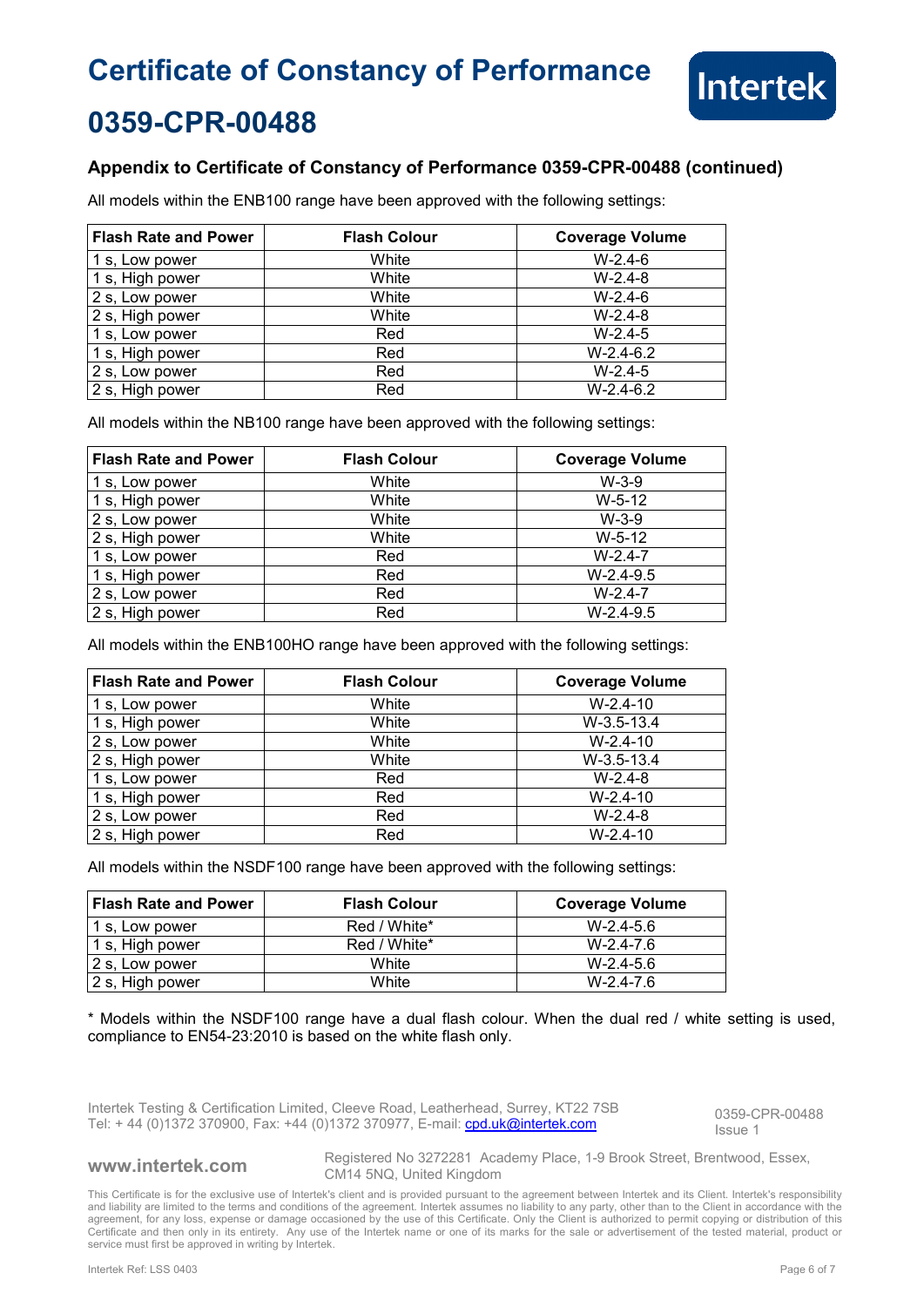

## **0359-CPR-00488**

### **Appendix to Certificate of Constancy of Performance 0359-CPR-00488 (continued)**

All models within the ENB100 range have been approved with the following settings:

| <b>Flash Rate and Power</b> | <b>Flash Colour</b> | <b>Coverage Volume</b> |
|-----------------------------|---------------------|------------------------|
| 1 s, Low power              | White               | $W-2.4-6$              |
| 1 s, High power             | White               | $W-2.4-8$              |
| 2 s, Low power              | White               | $W-2.4-6$              |
| 2 s, High power             | White               | $W-2.4-8$              |
| 1 s, Low power              | Red                 | $W-2.4-5$              |
| 1 s, High power             | Red                 | $W-2.4-6.2$            |
| 2 s, Low power              | Red                 | $W-2.4-5$              |
| 2 s, High power             | Red                 | $W-2.4-6.2$            |

All models within the NB100 range have been approved with the following settings:

| <b>Flash Rate and Power</b> | <b>Flash Colour</b> | <b>Coverage Volume</b> |
|-----------------------------|---------------------|------------------------|
| 1 s, Low power              | White               | $W-3-9$                |
| 1 s, High power             | White               | $W-5-12$               |
| 2 s, Low power              | White               | $W-3-9$                |
| 2 s, High power             | White               | $W-5-12$               |
| 1 s, Low power              | Red                 | $W-2.4-7$              |
| 1 s, High power             | Red                 | $W-2.4-9.5$            |
| 2 s, Low power              | Red                 | $W-2.4-7$              |
| 2 s, High power             | Red                 | $W-2.4-9.5$            |

All models within the ENB100HO range have been approved with the following settings:

| <b>Flash Rate and Power</b> | <b>Flash Colour</b> | <b>Coverage Volume</b> |
|-----------------------------|---------------------|------------------------|
| 1 s, Low power              | White               | $W-2.4-10$             |
| 1 s, High power             | White               | $W-3.5-13.4$           |
| 2 s, Low power              | White               | $W-2.4-10$             |
| 2 s, High power             | White               | $W-3.5-13.4$           |
| 1 s, Low power              | Red                 | $W-2.4-8$              |
| 1 s, High power             | Red                 | $W-2.4-10$             |
| 2 s, Low power              | Red                 | $W-2.4-8$              |
| 2 s, High power             | Red                 | $W-2.4-10$             |

All models within the NSDF100 range have been approved with the following settings:

| <b>Flash Rate and Power</b> | <b>Flash Colour</b> | Coverage Volume |
|-----------------------------|---------------------|-----------------|
| 1 s, Low power              | Red / White*        | $W-2.4-5.6$     |
| 1 s, High power             | Red / White*        | $W-2.4-7.6$     |
| 2 s, Low power              | White               | $W-2.4-5.6$     |
| 2 s, High power             | White               | $W-2.4-7.6$     |

\* Models within the NSDF100 range have a dual flash colour. When the dual red / white setting is used, compliance to EN54-23:2010 is based on the white flash only.

Intertek Testing & Certification Limited, Cleeve Road, Leatherhead, Surrey, KT22 7SB Intertek Testing & Certification Limited, Cleeve Road, Leatherhead, Surrey, KT22 7SB<br>Tel: + 44 (0)1372 370900, Fax: +44 (0)1372 370977, E-mail: cnd.uk@intertek.com objection of the lesting 1

Issue 1

**www.intertek.com** Registered No 3272281 Academy Place, 1-9 Brook Street, Brentwood, Essex, CM14 5NQ, United Kingdom